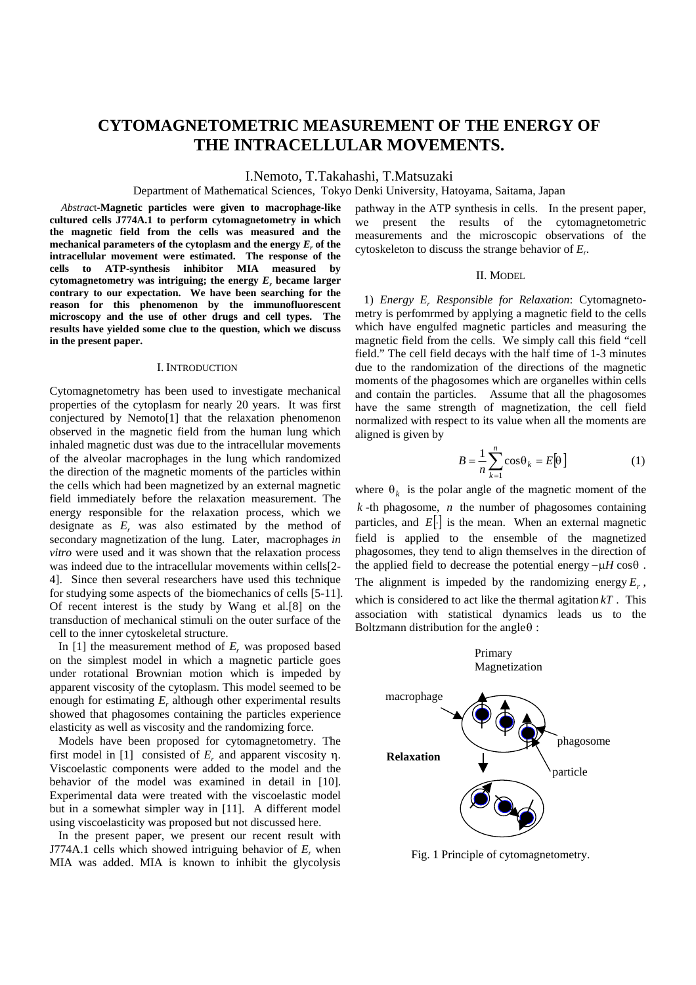# **CYTOMAGNETOMETRIC MEASUREMENT OF THE ENERGY OF THE INTRACELLULAR MOVEMENTS.**

I.Nemoto, T.Takahashi, T.Matsuzaki

Department of Mathematical Sciences, Tokyo Denki University, Hatoyama, Saitama, Japan

*Abstrac*t-**Magnetic particles were given to macrophage-like cultured cells J774A.1 to perform cytomagnetometry in which the magnetic field from the cells was measured and the** mechanical parameters of the cytoplasm and the energy  $E_r$  of the **intracellular movement were estimated. The response of the cells to ATP-synthesis inhibitor MIA measured by cytomagnetometry was intriguing; the energy** *Er* **became larger contrary to our expectation. We have been searching for the reason for this phenomenon by the immunofluorescent microscopy and the use of other drugs and cell types. The results have yielded some clue to the question, which we discuss in the present paper.**

# I. INTRODUCTION

Cytomagnetometry has been used to investigate mechanical properties of the cytoplasm for nearly 20 years. It was first conjectured by Nemoto[1] that the relaxation phenomenon observed in the magnetic field from the human lung which inhaled magnetic dust was due to the intracellular movements of the alveolar macrophages in the lung which randomized the direction of the magnetic moments of the particles within the cells which had been magnetized by an external magnetic field immediately before the relaxation measurement. The energy responsible for the relaxation process, which we designate as  $E_r$  was also estimated by the method of secondary magnetization of the lung. Later, macrophages *in vitro* were used and it was shown that the relaxation process was indeed due to the intracellular movements within cells[2- 4]. Since then several researchers have used this technique for studying some aspects of the biomechanics of cells [5-11]. Of recent interest is the study by Wang et al.[8] on the transduction of mechanical stimuli on the outer surface of the cell to the inner cytoskeletal structure.

In [1] the measurement method of  $E_r$  was proposed based on the simplest model in which a magnetic particle goes under rotational Brownian motion which is impeded by apparent viscosity of the cytoplasm. This model seemed to be enough for estimating *E<sub>r</sub>* although other experimental results showed that phagosomes containing the particles experience elasticity as well as viscosity and the randomizing force.

 Models have been proposed for cytomagnetometry. The first model in [1] consisted of *Er* and apparent viscosity η. Viscoelastic components were added to the model and the behavior of the model was examined in detail in [10]. Experimental data were treated with the viscoelastic model but in a somewhat simpler way in [11]. A different model using viscoelasticity was proposed but not discussed here.

 In the present paper, we present our recent result with J774A.1 cells which showed intriguing behavior of  $E_r$  when MIA was added. MIA is known to inhibit the glycolysis

pathway in the ATP synthesis in cells. In the present paper, we present the results of the cytomagnetometric measurements and the microscopic observations of the cytoskeleton to discuss the strange behavior of *Er*.

#### II. MODEL

1) *Energy Er Responsible for Relaxation*: Cytomagnetometry is perfomrmed by applying a magnetic field to the cells which have engulfed magnetic particles and measuring the magnetic field from the cells. We simply call this field "cell field." The cell field decays with the half time of 1-3 minutes due to the randomization of the directions of the magnetic moments of the phagosomes which are organelles within cells and contain the particles. Assume that all the phagosomes have the same strength of magnetization, the cell field normalized with respect to its value when all the moments are aligned is given by

$$
B = \frac{1}{n} \sum_{k=1}^{n} \cos \theta_k = E[\theta]
$$
 (1)

where  $\theta_k$  is the polar angle of the magnetic moment of the *k* -th phagosome, *n* the number of phagosomes containing particles, and  $E[\cdot]$  is the mean. When an external magnetic field is applied to the ensemble of the magnetized phagosomes, they tend to align themselves in the direction of the applied field to decrease the potential energy −µ*H* cosθ .

The alignment is impeded by the randomizing energy  $E_r$ , which is considered to act like the thermal agitation *kT* . This association with statistical dynamics leads us to the Boltzmann distribution for the angle $\theta$ :



Fig. 1 Principle of cytomagnetometry.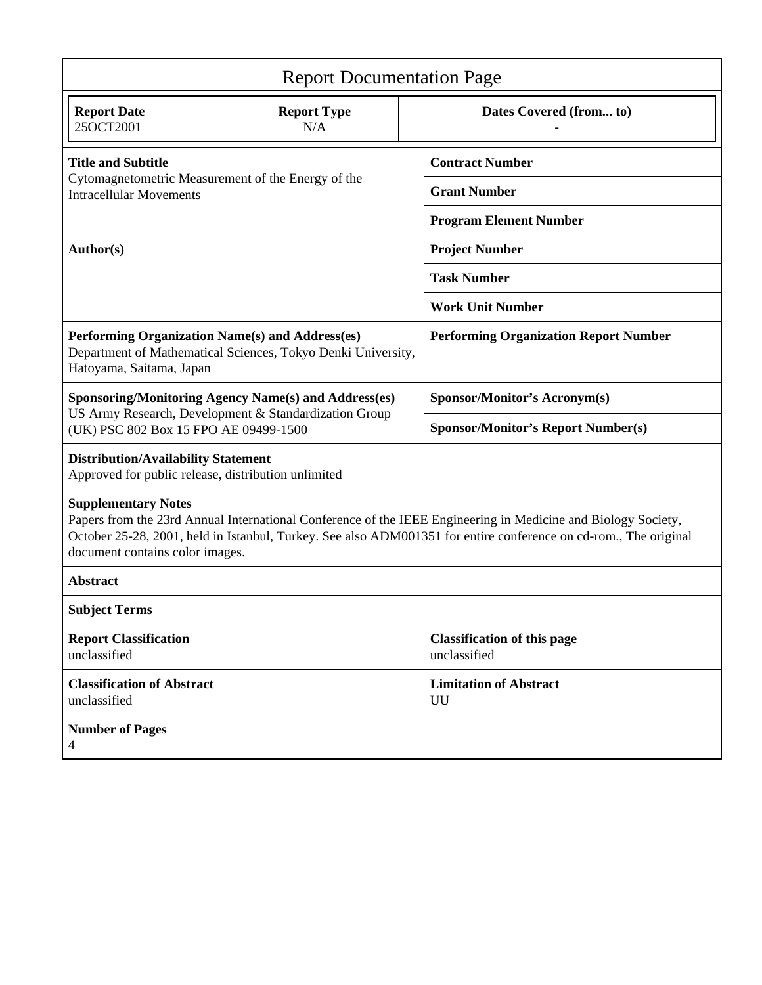| <b>Report Documentation Page</b>                                                                                                                                                                                                                                                                   |                           |                                              |                                                    |  |
|----------------------------------------------------------------------------------------------------------------------------------------------------------------------------------------------------------------------------------------------------------------------------------------------------|---------------------------|----------------------------------------------|----------------------------------------------------|--|
| <b>Report Date</b><br>25OCT2001                                                                                                                                                                                                                                                                    | <b>Report Type</b><br>N/A |                                              | Dates Covered (from to)                            |  |
| <b>Title and Subtitle</b><br>Cytomagnetometric Measurement of the Energy of the<br><b>Intracellular Movements</b>                                                                                                                                                                                  |                           | <b>Contract Number</b>                       |                                                    |  |
|                                                                                                                                                                                                                                                                                                    |                           |                                              | <b>Grant Number</b>                                |  |
|                                                                                                                                                                                                                                                                                                    |                           | <b>Program Element Number</b>                |                                                    |  |
| Author(s)                                                                                                                                                                                                                                                                                          |                           | <b>Project Number</b>                        |                                                    |  |
|                                                                                                                                                                                                                                                                                                    |                           | <b>Task Number</b>                           |                                                    |  |
|                                                                                                                                                                                                                                                                                                    |                           | <b>Work Unit Number</b>                      |                                                    |  |
| Performing Organization Name(s) and Address(es)<br>Department of Mathematical Sciences, Tokyo Denki University,<br>Hatoyama, Saitama, Japan                                                                                                                                                        |                           | <b>Performing Organization Report Number</b> |                                                    |  |
| <b>Sponsoring/Monitoring Agency Name(s) and Address(es)</b>                                                                                                                                                                                                                                        |                           |                                              | <b>Sponsor/Monitor's Acronym(s)</b>                |  |
| US Army Research, Development & Standardization Group<br>(UK) PSC 802 Box 15 FPO AE 09499-1500                                                                                                                                                                                                     |                           |                                              | <b>Sponsor/Monitor's Report Number(s)</b>          |  |
| <b>Distribution/Availability Statement</b><br>Approved for public release, distribution unlimited                                                                                                                                                                                                  |                           |                                              |                                                    |  |
| <b>Supplementary Notes</b><br>Papers from the 23rd Annual International Conference of the IEEE Engineering in Medicine and Biology Society,<br>October 25-28, 2001, held in Istanbul, Turkey. See also ADM001351 for entire conference on cd-rom., The original<br>document contains color images. |                           |                                              |                                                    |  |
| <b>Abstract</b>                                                                                                                                                                                                                                                                                    |                           |                                              |                                                    |  |
| <b>Subject Terms</b>                                                                                                                                                                                                                                                                               |                           |                                              |                                                    |  |
| <b>Report Classification</b><br>unclassified                                                                                                                                                                                                                                                       |                           |                                              | <b>Classification of this page</b><br>unclassified |  |
| <b>Classification of Abstract</b><br>unclassified                                                                                                                                                                                                                                                  |                           |                                              | <b>Limitation of Abstract</b><br>UU                |  |
| <b>Number of Pages</b><br>$\overline{4}$                                                                                                                                                                                                                                                           |                           |                                              |                                                    |  |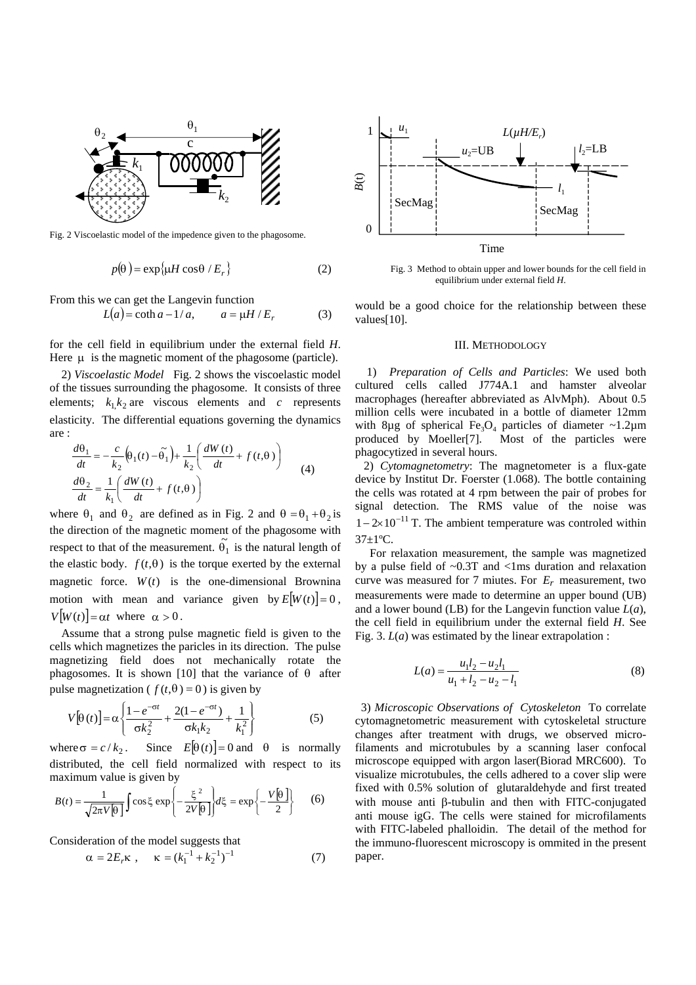

Fig. 2 Viscoelastic model of the impedence given to the phagosome.

$$
p(\theta) = \exp\{\mu H \cos \theta / E_r\}
$$
 (2)

From this we can get the Langevin function

$$
L(a) = \coth a - 1/a, \qquad a = \mu H / E_r \tag{3}
$$

for the cell field in equilibrium under the external field *H*. Here  $\mu$  is the magnetic moment of the phagosome (particle).

 2) *Viscoelastic Model* Fig. 2 shows the viscoelastic model of the tissues surrounding the phagosome. It consists of three elements;  $k_1 k_2$  are viscous elements and *c* represents elasticity. The differential equations governing the dynamics are :

$$
\frac{d\theta_1}{dt} = -\frac{c}{k_2} \left( \theta_1(t) - \tilde{\theta_1} \right) + \frac{1}{k_2} \left( \frac{dW(t)}{dt} + f(t, \theta) \right)
$$
\n
$$
\frac{d\theta_2}{dt} = \frac{1}{k_1} \left( \frac{dW(t)}{dt} + f(t, \theta) \right)
$$
\n(4)

where  $\theta_1$  and  $\theta_2$  are defined as in Fig. 2 and  $\theta = \theta_1 + \theta_2$  is the direction of the magnetic moment of the phagosome with respect to that of the measurement.  $\tilde{\theta}_1$  is the natural length of the elastic body.  $f(t, \theta)$  is the torque exerted by the external magnetic force.  $W(t)$  is the one-dimensional Brownina motion with mean and variance given by  $E[W(t)] = 0$ ,  $V[W(t)] = \alpha t$  where  $\alpha > 0$ .

 Assume that a strong pulse magnetic field is given to the cells which magnetizes the paricles in its direction. The pulse magnetizing field does not mechanically rotate the phagosomes. It is shown [10] that the variance of  $\theta$  after pulse magnetization ( $f(t,\theta) = 0$ ) is given by

$$
V[\theta(t)] = \alpha \left\{ \frac{1 - e^{-\sigma t}}{\sigma k_2^2} + \frac{2(1 - e^{-\sigma t})}{\sigma k_1 k_2} + \frac{1}{k_1^2} \right\}
$$
(5)

where  $\sigma = c / k_2$ . Since  $E[\theta(t)] = 0$  and  $\theta$  is normally distributed, the cell field normalized with respect to its maximum value is given by

$$
B(t) = \frac{1}{\sqrt{2\pi V[\theta]}} \int \cos \xi \exp\left\{-\frac{\xi^2}{2V[\theta]}\right\} d\xi = \exp\left\{-\frac{V[\theta]}{2}\right\} \tag{6}
$$

Consideration of the model suggests that

$$
\alpha = 2E_r \kappa , \quad \kappa = (k_1^{-1} + k_2^{-1})^{-1}
$$
 (7)



 Fig. 3 Method to obtain upper and lower bounds for the cell field in equilibrium under external field *H*.

would be a good choice for the relationship between these values[10].

### III. METHODOLOGY

1) *Preparation of Cells and Particles*: We used both cultured cells called J774A.1 and hamster alveolar macrophages (hereafter abbreviated as AlvMph). About 0.5 million cells were incubated in a bottle of diameter 12mm with 8µg of spherical Fe<sub>3</sub>O<sub>4</sub> particles of diameter ~1.2µm produced by Moeller[7]. Most of the particles were phagocytized in several hours.

2) *Cytomagnetometry*: The magnetometer is a flux-gate device by Institut Dr. Foerster (1.068). The bottle containing the cells was rotated at 4 rpm between the pair of probes for signal detection. The RMS value of the noise was  $1 - 2 \times 10^{-11}$  T. The ambient temperature was controled within  $37 \pm 1$ <sup>o</sup>C.

 For relaxation measurement, the sample was magnetized by a pulse field of ~0.3T and <1ms duration and relaxation curve was measured for 7 miutes. For  $E_r$  measurement, two measurements were made to determine an upper bound (UB) and a lower bound (LB) for the Langevin function value *L*(*a*), the cell field in equilibrium under the external field *H*. See Fig. 3. *L*(*a*) was estimated by the linear extrapolation :

$$
L(a) = \frac{u_1 l_2 - u_2 l_1}{u_1 + l_2 - u_2 - l_1}
$$
 (8)

 3) *Microscopic Observations of Cytoskeleton* To correlate cytomagnetometric measurement with cytoskeletal structure changes after treatment with drugs, we observed microfilaments and microtubules by a scanning laser confocal microscope equipped with argon laser(Biorad MRC600). To visualize microtubules, the cells adhered to a cover slip were fixed with 0.5% solution of glutaraldehyde and first treated with mouse anti β-tubulin and then with FITC-conjugated anti mouse igG. The cells were stained for microfilaments with FITC-labeled phalloidin. The detail of the method for the immuno-fluorescent microscopy is ommited in the present paper.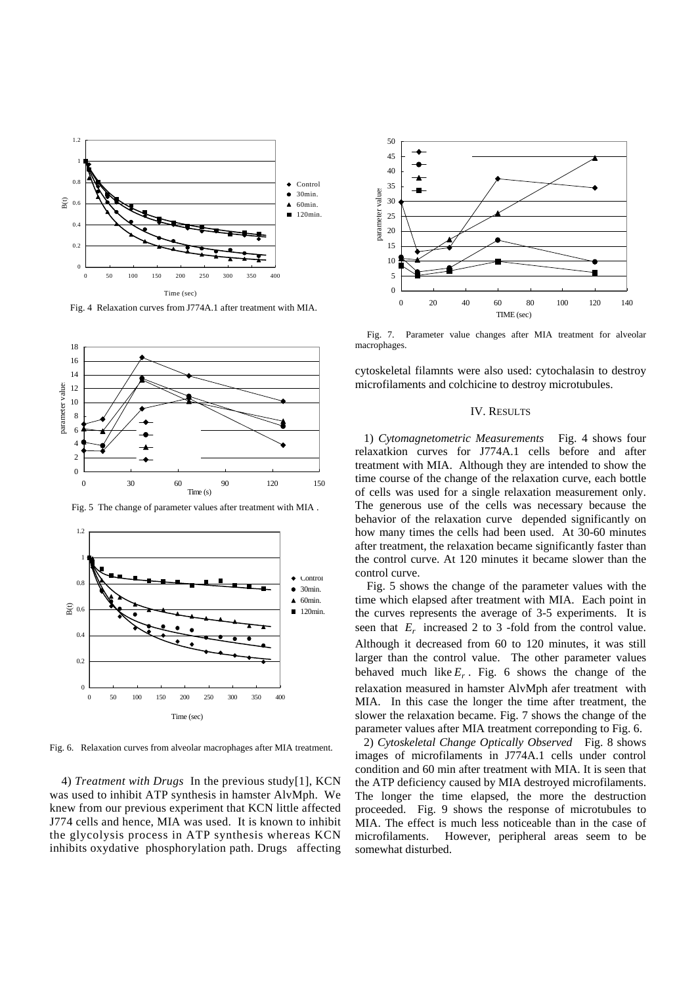

Fig. 4 Relaxation curves from J774A.1 after treatment with MIA.



Fig. 5 The change of parameter values after treatment with MIA .



Fig. 6. Relaxation curves from alveolar macrophages after MIA treatment.

 4) *Treatment with Drugs* In the previous study[1], KCN was used to inhibit ATP synthesis in hamster AlvMph. We knew from our previous experiment that KCN little affected J774 cells and hence, MIA was used. It is known to inhibit the glycolysis process in ATP synthesis whereas KCN inhibits oxydative phosphorylation path. Drugs affecting



 Fig. 7. Parameter value changes after MIA treatment for alveolar macrophages.

cytoskeletal filamnts were also used: cytochalasin to destroy microfilaments and colchicine to destroy microtubules.

# IV. RESULTS

 1) *Cytomagnetometric Measurements* Fig. 4 shows four relaxatkion curves for J774A.1 cells before and after treatment with MIA. Although they are intended to show the time course of the change of the relaxation curve, each bottle of cells was used for a single relaxation measurement only. The generous use of the cells was necessary because the behavior of the relaxation curve depended significantly on how many times the cells had been used. At 30-60 minutes after treatment, the relaxation became significantly faster than the control curve. At 120 minutes it became slower than the control curve.

 Fig. 5 shows the change of the parameter values with the time which elapsed after treatment with MIA. Each point in the curves represents the average of 3-5 experiments. It is seen that  $E_r$  increased 2 to 3 -fold from the control value. Although it decreased from 60 to 120 minutes, it was still larger than the control value. The other parameter values behaved much like  $E_r$ . Fig. 6 shows the change of the relaxation measured in hamster AlvMph afer treatment with MIA. In this case the longer the time after treatment, the slower the relaxation became. Fig. 7 shows the change of the parameter values after MIA treatment correponding to Fig. 6.

 2) *Cytoskeletal Change Optically Observed* Fig. 8 shows images of microfilaments in J774A.1 cells under control condition and 60 min after treatment with MIA. It is seen that the ATP deficiency caused by MIA destroyed microfilaments. The longer the time elapsed, the more the destruction proceeded. Fig. 9 shows the response of microtubules to MIA. The effect is much less noticeable than in the case of microfilaments. However, peripheral areas seem to be somewhat disturbed.